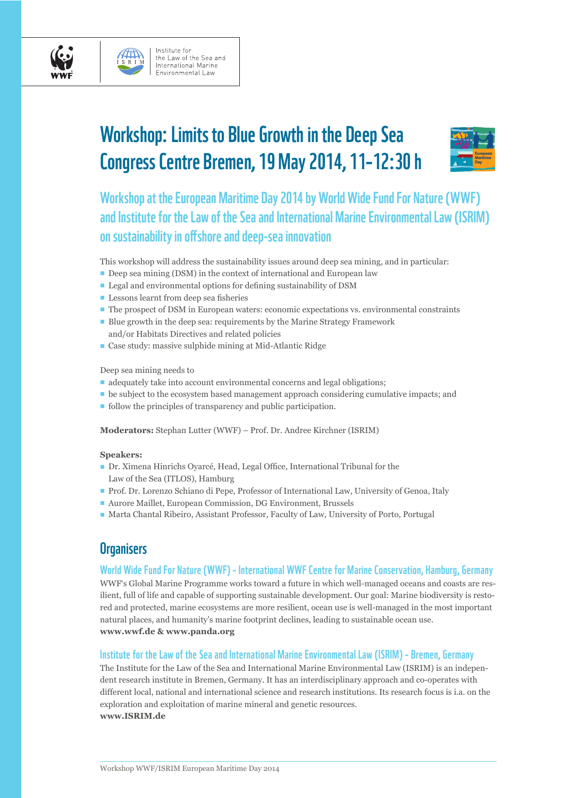

# Workshop: Limits to Blue Growth in the Deep Sea Congress Centre Bremen, 19 May 2014, 11–12:30 h



Workshop at the European Maritime Day 2014 by World Wide Fund For Nature (WWF) and Institute for the Law of the Sea and International Marine Environmental Law (ISRIM) on sustainability in offshore and deep-sea innovation

This workshop will address the sustainability issues around deep sea mining, and in particular:

- Deep sea mining (DSM) in the context of international and European law
- $\blacksquare$  Legal and environmental options for defining sustainability of DSM
- $\blacksquare$  Lessons learnt from deep sea fisheries
- The prospect of DSM in European waters: economic expectations vs. environmental constraints
- Blue growth in the deep sea: requirements by the Marine Strategy Framework and/or Habitats Directives and related policies
- Case study: massive sulphide mining at Mid-Atlantic Ridge

Deep sea mining needs to

- $\blacksquare$  adequately take into account environmental concerns and legal obligations;
- $\blacksquare$  be subject to the ecosystem based management approach considering cumulative impacts; and
- **follow the principles of transparency and public participation.**

**Moderators:** Stephan Lutter (WWF) – Prof. Dr. Andree Kirchner (ISRIM)

#### **Speakers:**

- Dr. Ximena Hinrichs Oyarcé, Head, Legal Office, International Tribunal for the Law of the Sea (ITLOS), Hamburg
- Prof. Dr. Lorenzo Schiano di Pepe, Professor of International Law, University of Genoa, Italy
- Aurore Maillet, European Commission, DG Environment, Brussels
- Marta Chantal Ribeiro, Assistant Professor, Faculty of Law, University of Porto, Portugal

### **Organisers**

### World Wide Fund For Nature (WWF) – International WWF Centre for Marine Conservation, Hamburg, Germany

WWF's Global Marine Programme works toward a future in which well-managed oceans and coasts are resilient, full of life and capable of supporting sustainable development. Our goal: Marine biodiversity is restored and protected, marine ecosystems are more resilient, ocean use is well-managed in the most important natural places, and humanity's marine footprint declines, leading to sustainable ocean use. **www.wwf.de & www.panda.org**

### Institute for the Law of the Sea and International Marine Environmental Law (ISRIM) – Bremen, Germany

The Institute for the Law of the Sea and International Marine Environmental Law (ISRIM) is an independent research institute in Bremen, Germany. It has an interdisciplinary approach and co-operates with different local, national and international science and research institutions. Its research focus is i.a. on the exploration and exploitation of marine mineral and genetic resources. **www.ISRIM.de**